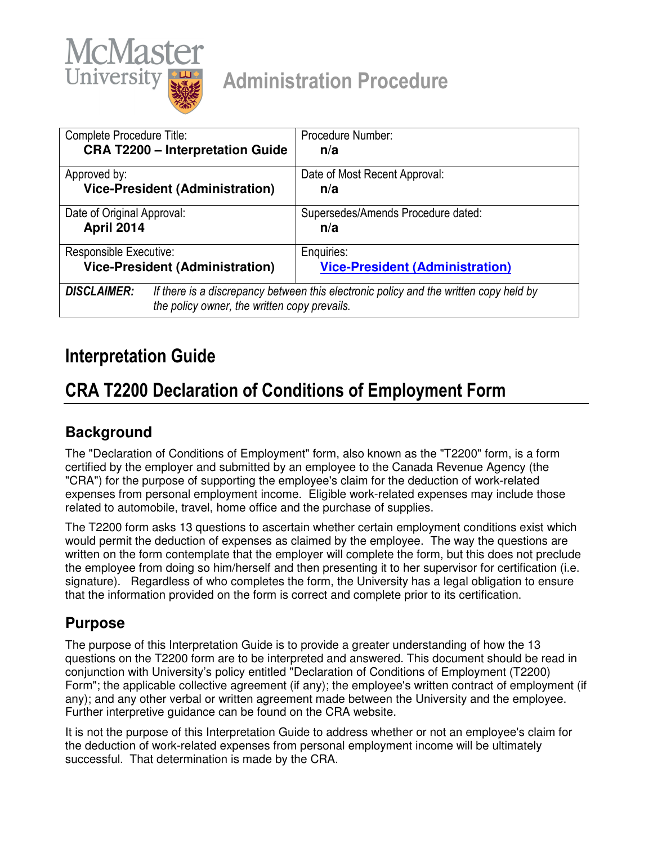

# Administration Procedure

| Complete Procedure Title:                    | Procedure Number:                                                                     |
|----------------------------------------------|---------------------------------------------------------------------------------------|
| <b>CRA T2200 - Interpretation Guide</b>      | n/a                                                                                   |
| Approved by:                                 | Date of Most Recent Approval:                                                         |
| <b>Vice-President (Administration)</b>       | n/a                                                                                   |
| Date of Original Approval:                   | Supersedes/Amends Procedure dated:                                                    |
| April 2014                                   | n/a                                                                                   |
| Responsible Executive:                       | Enquiries:                                                                            |
| <b>Vice-President (Administration)</b>       | <b>Vice-President (Administration)</b>                                                |
| <b>DISCLAIMER:</b>                           | If there is a discrepancy between this electronic policy and the written copy held by |
| the policy owner, the written copy prevails. |                                                                                       |

# Interpretation Guide

# CRA T2200 Declaration of Conditions of Employment Form

# **Background**

The "Declaration of Conditions of Employment" form, also known as the "T2200" form, is a form certified by the employer and submitted by an employee to the Canada Revenue Agency (the "CRA") for the purpose of supporting the employee's claim for the deduction of work-related expenses from personal employment income. Eligible work-related expenses may include those related to automobile, travel, home office and the purchase of supplies.

The T2200 form asks 13 questions to ascertain whether certain employment conditions exist which would permit the deduction of expenses as claimed by the employee. The way the questions are written on the form contemplate that the employer will complete the form, but this does not preclude the employee from doing so him/herself and then presenting it to her supervisor for certification (i.e. signature). Regardless of who completes the form, the University has a legal obligation to ensure that the information provided on the form is correct and complete prior to its certification.

# **Purpose**

The purpose of this Interpretation Guide is to provide a greater understanding of how the 13 questions on the T2200 form are to be interpreted and answered. This document should be read in conjunction with University's policy entitled "Declaration of Conditions of Employment (T2200) Form"; the applicable collective agreement (if any); the employee's written contract of employment (if any); and any other verbal or written agreement made between the University and the employee. Further interpretive guidance can be found on the CRA website.

It is not the purpose of this Interpretation Guide to address whether or not an employee's claim for the deduction of work-related expenses from personal employment income will be ultimately successful. That determination is made by the CRA.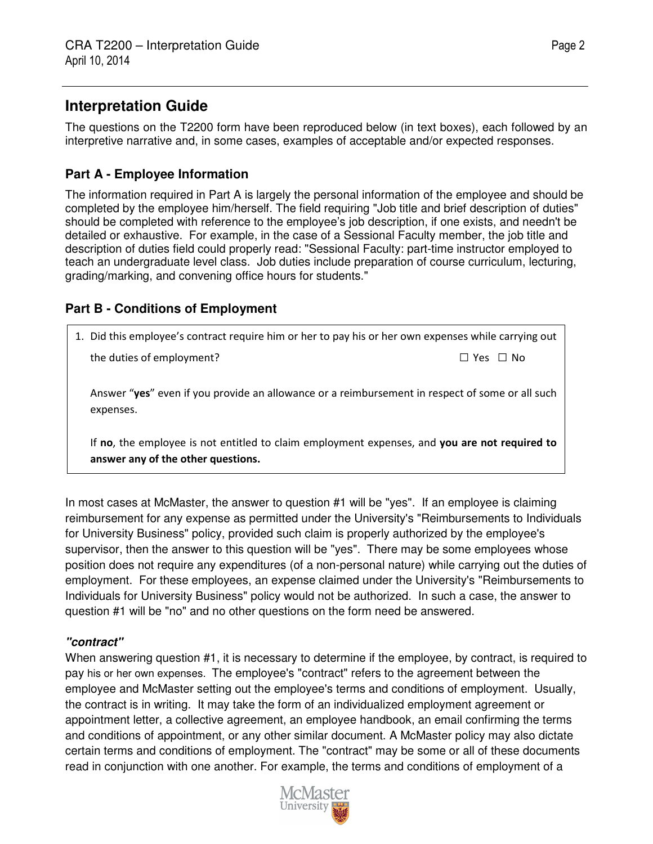# **Interpretation Guide**

The questions on the T2200 form have been reproduced below (in text boxes), each followed by an interpretive narrative and, in some cases, examples of acceptable and/or expected responses.

## **Part A - Employee Information**

The information required in Part A is largely the personal information of the employee and should be completed by the employee him/herself. The field requiring "Job title and brief description of duties" should be completed with reference to the employee's job description, if one exists, and needn't be detailed or exhaustive. For example, in the case of a Sessional Faculty member, the job title and description of duties field could properly read: "Sessional Faculty: part-time instructor employed to teach an undergraduate level class. Job duties include preparation of course curriculum, lecturing, grading/marking, and convening office hours for students."

## **Part B - Conditions of Employment**

| 1. Did this employee's contract require him or her to pay his or her own expenses while carrying out                                |                      |  |
|-------------------------------------------------------------------------------------------------------------------------------------|----------------------|--|
| the duties of employment?                                                                                                           | $\Box$ Yes $\Box$ No |  |
| Answer "yes" even if you provide an allowance or a reimbursement in respect of some or all such<br>expenses.                        |                      |  |
| If no, the employee is not entitled to claim employment expenses, and you are not required to<br>answer any of the other questions. |                      |  |

In most cases at McMaster, the answer to question #1 will be "yes". If an employee is claiming reimbursement for any expense as permitted under the University's "Reimbursements to Individuals for University Business" policy, provided such claim is properly authorized by the employee's supervisor, then the answer to this question will be "yes". There may be some employees whose position does not require any expenditures (of a non-personal nature) while carrying out the duties of employment. For these employees, an expense claimed under the University's "Reimbursements to Individuals for University Business" policy would not be authorized. In such a case, the answer to question #1 will be "no" and no other questions on the form need be answered.

## **"contract"**

When answering question #1, it is necessary to determine if the employee, by contract, is required to pay his or her own expenses. The employee's "contract" refers to the agreement between the employee and McMaster setting out the employee's terms and conditions of employment. Usually, the contract is in writing. It may take the form of an individualized employment agreement or appointment letter, a collective agreement, an employee handbook, an email confirming the terms and conditions of appointment, or any other similar document. A McMaster policy may also dictate certain terms and conditions of employment. The "contract" may be some or all of these documents read in conjunction with one another. For example, the terms and conditions of employment of a

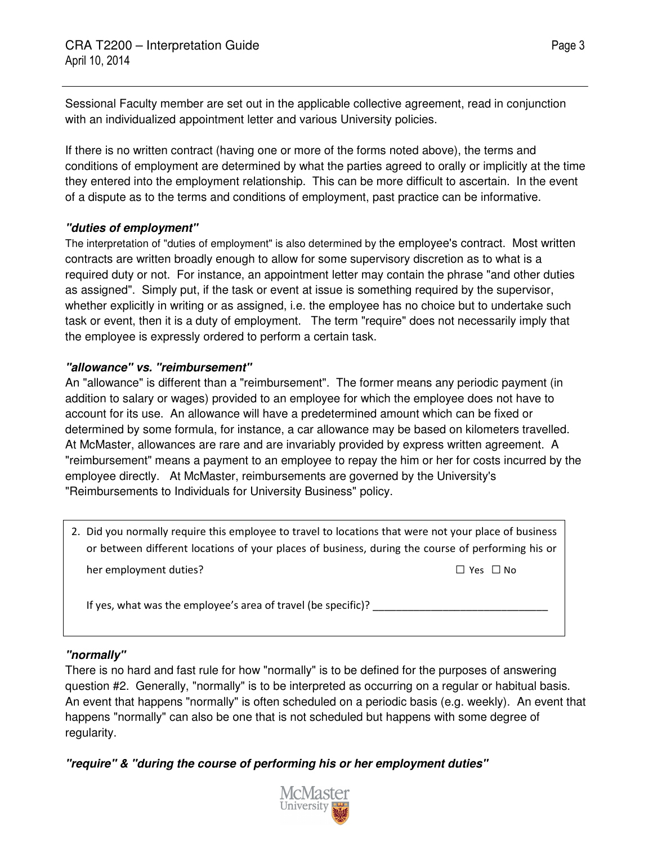Sessional Faculty member are set out in the applicable collective agreement, read in conjunction with an individualized appointment letter and various University policies.

If there is no written contract (having one or more of the forms noted above), the terms and conditions of employment are determined by what the parties agreed to orally or implicitly at the time they entered into the employment relationship. This can be more difficult to ascertain. In the event of a dispute as to the terms and conditions of employment, past practice can be informative.

#### **"duties of employment"**

The interpretation of "duties of employment" is also determined by the employee's contract. Most written contracts are written broadly enough to allow for some supervisory discretion as to what is a required duty or not. For instance, an appointment letter may contain the phrase "and other duties as assigned". Simply put, if the task or event at issue is something required by the supervisor, whether explicitly in writing or as assigned, i.e. the employee has no choice but to undertake such task or event, then it is a duty of employment. The term "require" does not necessarily imply that the employee is expressly ordered to perform a certain task.

## **"allowance" vs. "reimbursement"**

An "allowance" is different than a "reimbursement". The former means any periodic payment (in addition to salary or wages) provided to an employee for which the employee does not have to account for its use. An allowance will have a predetermined amount which can be fixed or determined by some formula, for instance, a car allowance may be based on kilometers travelled. At McMaster, allowances are rare and are invariably provided by express written agreement. A "reimbursement" means a payment to an employee to repay the him or her for costs incurred by the employee directly. At McMaster, reimbursements are governed by the University's "Reimbursements to Individuals for University Business" policy.

2. Did you normally require this employee to travel to locations that were not your place of business or between different locations of your places of business, during the course of performing his or her employment duties? □ Yes □ No

If yes, what was the employee's area of travel (be specific)?

#### **"normally"**

There is no hard and fast rule for how "normally" is to be defined for the purposes of answering question #2. Generally, "normally" is to be interpreted as occurring on a regular or habitual basis. An event that happens "normally" is often scheduled on a periodic basis (e.g. weekly). An event that happens "normally" can also be one that is not scheduled but happens with some degree of regularity.

**"require" & "during the course of performing his or her employment duties"** 

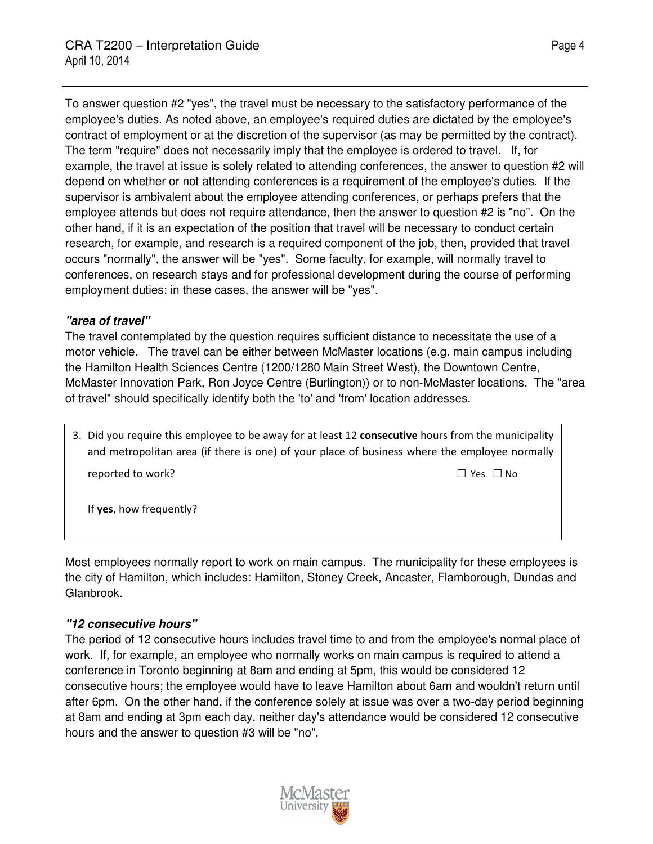To answer question #2 "yes", the travel must be necessary to the satisfactory performance of the employee's duties. As noted above, an employee's required duties are dictated by the employee's contract of employment or at the discretion of the supervisor (as may be permitted by the contract). The term "require" does not necessarily imply that the employee is ordered to travel. If, for example, the travel at issue is solely related to attending conferences, the answer to question #2 will depend on whether or not attending conferences is a requirement of the employee's duties. If the supervisor is ambivalent about the employee attending conferences, or perhaps prefers that the employee attends but does not require attendance, then the answer to question #2 is "no". On the other hand, if it is an expectation of the position that travel will be necessary to conduct certain research, for example, and research is a required component of the job, then, provided that travel occurs "normally", the answer will be "yes". Some faculty, for example, will normally travel to conferences, on research stays and for professional development during the course of performing employment duties; in these cases, the answer will be "yes".

#### **"area of travel"**

The travel contemplated by the question requires sufficient distance to necessitate the use of a motor vehicle. The travel can be either between McMaster locations (e.g. main campus including the Hamilton Health Sciences Centre (1200/1280 Main Street West), the Downtown Centre, McMaster Innovation Park, Ron Joyce Centre (Burlington)) or to non-McMaster locations. The "area of travel" should specifically identify both the 'to' and 'from' location addresses.

3. Did you require this employee to be away for at least 12 consecutive hours from the municipality and metropolitan area (if there is one) of your place of business where the employee normally reported to work?  $\Box$  Yes  $\Box$  No

If yes, how frequently?

Most employees normally report to work on main campus. The municipality for these employees is the city of Hamilton, which includes: Hamilton, Stoney Creek, Ancaster, Flamborough, Dundas and Glanbrook.

#### **"12 consecutive hours"**

The period of 12 consecutive hours includes travel time to and from the employee's normal place of work. If, for example, an employee who normally works on main campus is required to attend a conference in Toronto beginning at 8am and ending at 5pm, this would be considered 12 consecutive hours; the employee would have to leave Hamilton about 6am and wouldn't return until after 6pm. On the other hand, if the conference solely at issue was over a two-day period beginning at 8am and ending at 3pm each day, neither day's attendance would be considered 12 consecutive hours and the answer to question #3 will be "no".

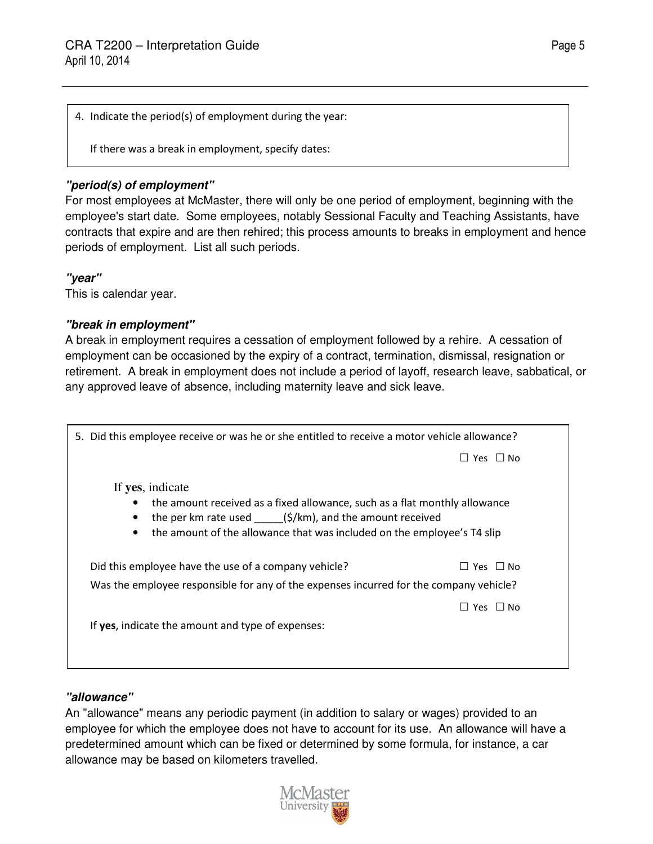4. Indicate the period(s) of employment during the year:

If there was a break in employment, specify dates:

### **"period(s) of employment"**

For most employees at McMaster, there will only be one period of employment, beginning with the employee's start date. Some employees, notably Sessional Faculty and Teaching Assistants, have contracts that expire and are then rehired; this process amounts to breaks in employment and hence periods of employment. List all such periods.

#### **"year"**

This is calendar year.

#### **"break in employment"**

A break in employment requires a cessation of employment followed by a rehire. A cessation of employment can be occasioned by the expiry of a contract, termination, dismissal, resignation or retirement. A break in employment does not include a period of layoff, research leave, sabbatical, or any approved leave of absence, including maternity leave and sick leave.

| 5. Did this employee receive or was he or she entitled to receive a motor vehicle allowance? |               |  |
|----------------------------------------------------------------------------------------------|---------------|--|
|                                                                                              | Yes $\Box$ No |  |
| If yes, indicate                                                                             |               |  |
| the amount received as a fixed allowance, such as a flat monthly allowance                   |               |  |
| the per km rate used $(\frac{\xi}{km})$ , and the amount received                            |               |  |
| the amount of the allowance that was included on the employee's T4 slip<br>$\bullet$         |               |  |
|                                                                                              |               |  |
| Did this employee have the use of a company vehicle?                                         | Yes $\Box$ No |  |
| Was the employee responsible for any of the expenses incurred for the company vehicle?       |               |  |
|                                                                                              | Yes □ No      |  |
| If yes, indicate the amount and type of expenses:                                            |               |  |
|                                                                                              |               |  |
|                                                                                              |               |  |
|                                                                                              |               |  |

## **"allowance"**

An "allowance" means any periodic payment (in addition to salary or wages) provided to an employee for which the employee does not have to account for its use. An allowance will have a predetermined amount which can be fixed or determined by some formula, for instance, a car allowance may be based on kilometers travelled.

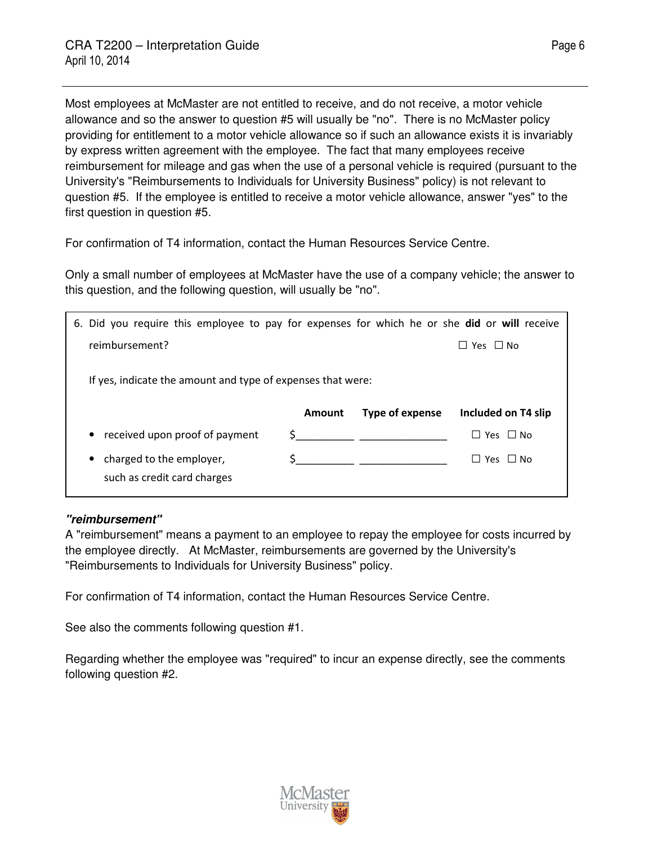Most employees at McMaster are not entitled to receive, and do not receive, a motor vehicle allowance and so the answer to question #5 will usually be "no". There is no McMaster policy providing for entitlement to a motor vehicle allowance so if such an allowance exists it is invariably by express written agreement with the employee. The fact that many employees receive reimbursement for mileage and gas when the use of a personal vehicle is required (pursuant to the University's "Reimbursements to Individuals for University Business" policy) is not relevant to question #5. If the employee is entitled to receive a motor vehicle allowance, answer "yes" to the first question in question #5.

For confirmation of T4 information, contact the Human Resources Service Centre.

Only a small number of employees at McMaster have the use of a company vehicle; the answer to this question, and the following question, will usually be "no".

| 6. Did you require this employee to pay for expenses for which he or she did or will receive |        |                 |                     |
|----------------------------------------------------------------------------------------------|--------|-----------------|---------------------|
| reimbursement?                                                                               |        |                 | Yes $\Box$ No       |
| If yes, indicate the amount and type of expenses that were:                                  |        |                 |                     |
|                                                                                              | Amount | Type of expense | Included on T4 slip |
| • received upon proof of payment                                                             |        |                 | Yes □ No            |
| charged to the employer,<br>$\bullet$<br>such as credit card charges                         |        |                 | Yes $\Box$ No       |
|                                                                                              |        |                 |                     |

#### **"reimbursement"**

A "reimbursement" means a payment to an employee to repay the employee for costs incurred by the employee directly. At McMaster, reimbursements are governed by the University's "Reimbursements to Individuals for University Business" policy.

For confirmation of T4 information, contact the Human Resources Service Centre.

See also the comments following question #1.

Regarding whether the employee was "required" to incur an expense directly, see the comments following question #2.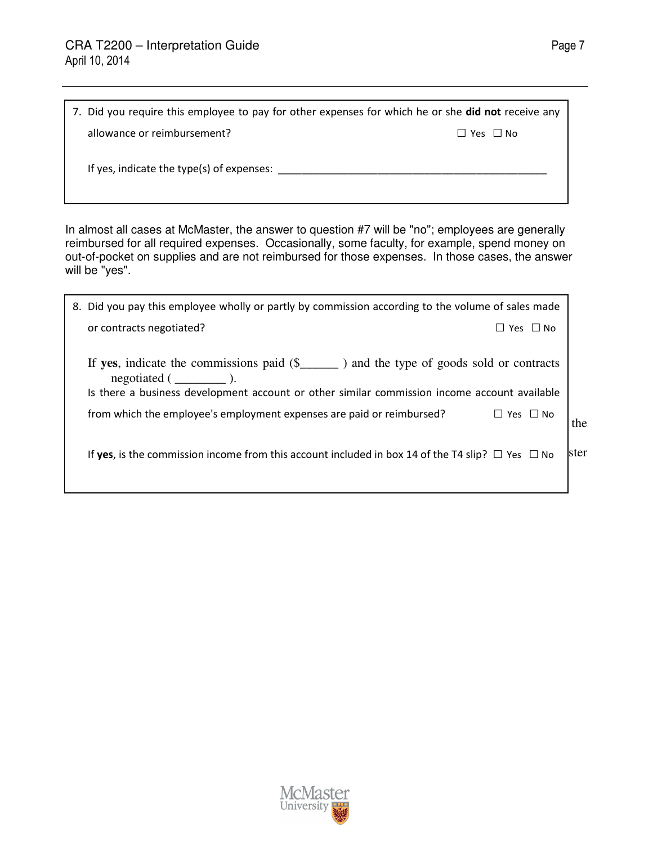| 7. Did you require this employee to pay for other expenses for which he or she <b>did not</b> receive any |                      |  |
|-----------------------------------------------------------------------------------------------------------|----------------------|--|
| allowance or reimbursement?                                                                               | $\Box$ Yes $\Box$ No |  |
| If yes, indicate the type(s) of expenses:                                                                 |                      |  |

In almost all cases at McMaster, the answer to question #7 will be "no"; employees are generally reimbursed for all required expenses. Occasionally, some faculty, for example, spend money on out-of-pocket on supplies and are not reimbursed for those expenses. In those cases, the answer will be "yes".

| 8. Did you pay this employee wholly or partly by commission according to the volume of sales made                                                                                                                     |       |
|-----------------------------------------------------------------------------------------------------------------------------------------------------------------------------------------------------------------------|-------|
| or contracts negotiated?<br>$\Box$ Yes $\Box$ No                                                                                                                                                                      |       |
| If yes, indicate the commissions paid $(\S$ _______ ) and the type of goods sold or contracts<br>$negotiated ($ $)$ .<br>Is there a business development account or other similar commission income account available |       |
| from which the employee's employment expenses are paid or reimbursed?<br>$\Box$ Yes $\Box$ No                                                                                                                         | the   |
| If yes, is the commission income from this account included in box 14 of the T4 slip? $\Box$ Yes $\Box$ No                                                                                                            | lster |
|                                                                                                                                                                                                                       |       |

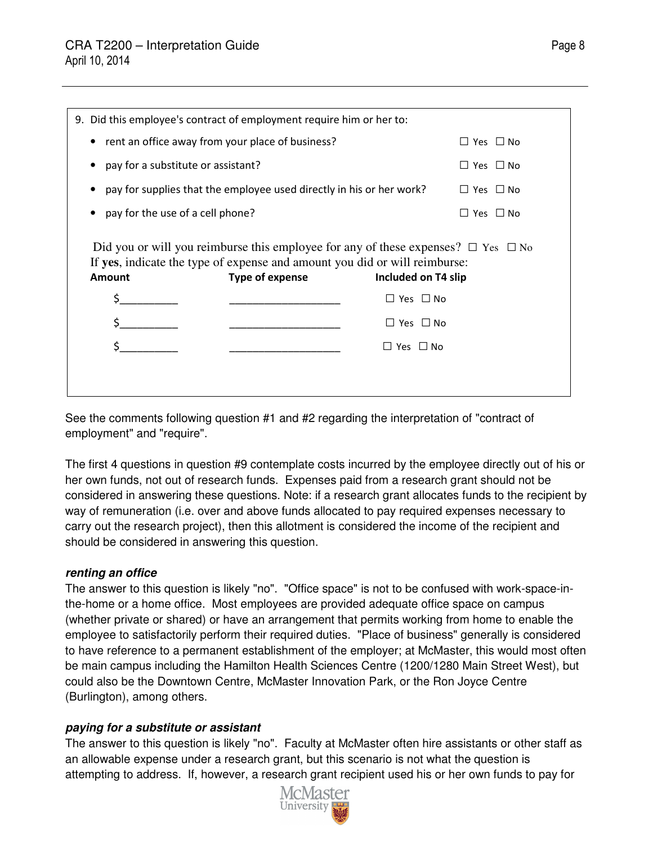| 9. Did this employee's contract of employment require him or her to:                                                                                                                       |                 |                      |                      |
|--------------------------------------------------------------------------------------------------------------------------------------------------------------------------------------------|-----------------|----------------------|----------------------|
| • rent an office away from your place of business?                                                                                                                                         |                 |                      | $\Box$ Yes $\Box$ No |
| pay for a substitute or assistant?                                                                                                                                                         |                 |                      | $\Box$ Yes $\Box$ No |
| pay for supplies that the employee used directly in his or her work?                                                                                                                       |                 |                      | $\Box$ Yes $\Box$ No |
| pay for the use of a cell phone?                                                                                                                                                           |                 |                      | $\Box$ Yes $\Box$ No |
| Did you or will you reimburse this employee for any of these expenses? $\Box$ Yes $\Box$ No<br>If yes, indicate the type of expense and amount you did or will reimburse:<br><b>Amount</b> | Type of expense | Included on T4 slip  |                      |
|                                                                                                                                                                                            |                 | $\Box$ Yes $\Box$ No |                      |
|                                                                                                                                                                                            |                 | $\Box$ Yes $\Box$ No |                      |
|                                                                                                                                                                                            |                 | $\Box$ Yes $\Box$ No |                      |
|                                                                                                                                                                                            |                 |                      |                      |
|                                                                                                                                                                                            |                 |                      |                      |

See the comments following question #1 and #2 regarding the interpretation of "contract of employment" and "require".

The first 4 questions in question #9 contemplate costs incurred by the employee directly out of his or her own funds, not out of research funds. Expenses paid from a research grant should not be considered in answering these questions. Note: if a research grant allocates funds to the recipient by way of remuneration (i.e. over and above funds allocated to pay required expenses necessary to carry out the research project), then this allotment is considered the income of the recipient and should be considered in answering this question.

#### **renting an office**

The answer to this question is likely "no". "Office space" is not to be confused with work-space-inthe-home or a home office. Most employees are provided adequate office space on campus (whether private or shared) or have an arrangement that permits working from home to enable the employee to satisfactorily perform their required duties. "Place of business" generally is considered to have reference to a permanent establishment of the employer; at McMaster, this would most often be main campus including the Hamilton Health Sciences Centre (1200/1280 Main Street West), but could also be the Downtown Centre, McMaster Innovation Park, or the Ron Joyce Centre (Burlington), among others.

#### **paying for a substitute or assistant**

The answer to this question is likely "no". Faculty at McMaster often hire assistants or other staff as an allowable expense under a research grant, but this scenario is not what the question is attempting to address. If, however, a research grant recipient used his or her own funds to pay for



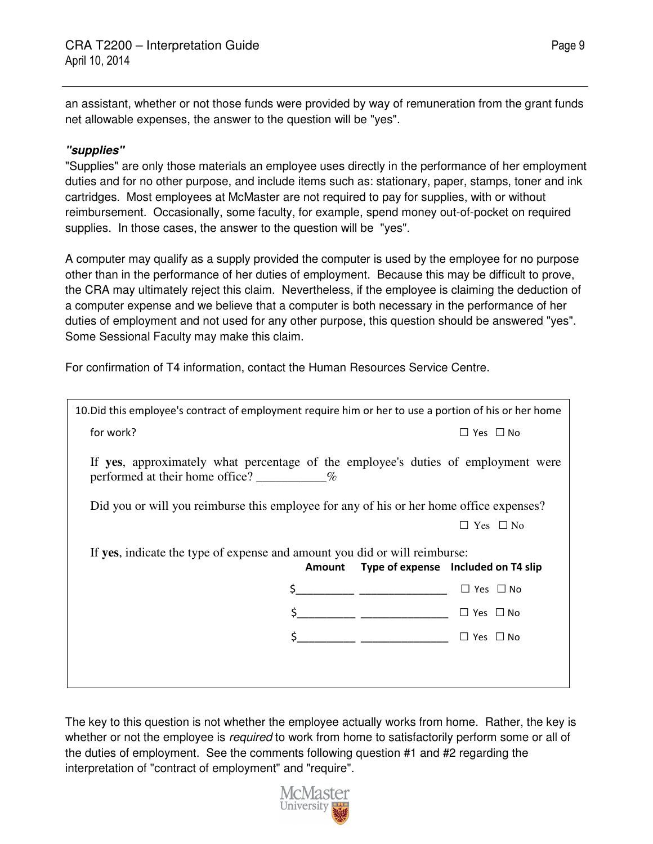an assistant, whether or not those funds were provided by way of remuneration from the grant funds net allowable expenses, the answer to the question will be "yes".

### **"supplies"**

"Supplies" are only those materials an employee uses directly in the performance of her employment duties and for no other purpose, and include items such as: stationary, paper, stamps, toner and ink cartridges. Most employees at McMaster are not required to pay for supplies, with or without reimbursement. Occasionally, some faculty, for example, spend money out-of-pocket on required supplies. In those cases, the answer to the question will be "yes".

A computer may qualify as a supply provided the computer is used by the employee for no purpose other than in the performance of her duties of employment. Because this may be difficult to prove, the CRA may ultimately reject this claim. Nevertheless, if the employee is claiming the deduction of a computer expense and we believe that a computer is both necessary in the performance of her duties of employment and not used for any other purpose, this question should be answered "yes". Some Sessional Faculty may make this claim.

For confirmation of T4 information, contact the Human Resources Service Centre.

| 10. Did this employee's contract of employment require him or her to use a portion of his or her home |                                                                                         |  |
|-------------------------------------------------------------------------------------------------------|-----------------------------------------------------------------------------------------|--|
| for work?                                                                                             | $\Box$ Yes $\Box$ No                                                                    |  |
| performed at their home office? $\sim$ %                                                              | If yes, approximately what percentage of the employee's duties of employment were       |  |
|                                                                                                       | Did you or will you reimburse this employee for any of his or her home office expenses? |  |
|                                                                                                       | $\Box$ Yes $\Box$ No                                                                    |  |
| If yes, indicate the type of expense and amount you did or will reimburse:                            | Amount Type of expense Included on T4 slip                                              |  |
|                                                                                                       | \$____________ ____________________<br>$\Box$ Yes $\Box$ No                             |  |
|                                                                                                       | \$_____________ ___________________<br>$\Box$ Yes $\Box$ No                             |  |
|                                                                                                       | $\frac{1}{2}$<br>$\Box$ Yes $\Box$ No                                                   |  |
|                                                                                                       |                                                                                         |  |
|                                                                                                       |                                                                                         |  |

The key to this question is not whether the employee actually works from home. Rather, the key is whether or not the employee is *required* to work from home to satisfactorily perform some or all of the duties of employment. See the comments following question #1 and #2 regarding the interpretation of "contract of employment" and "require".

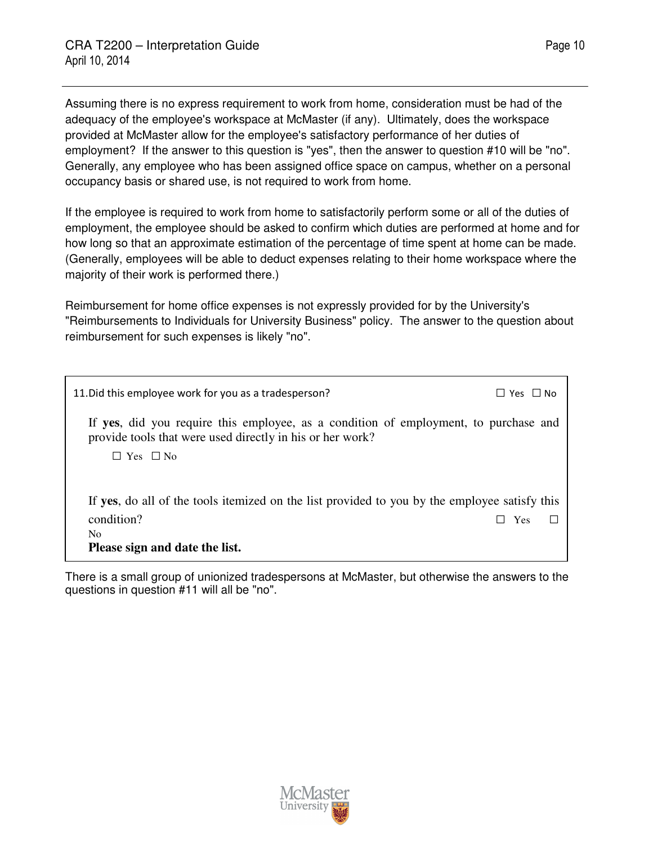Assuming there is no express requirement to work from home, consideration must be had of the adequacy of the employee's workspace at McMaster (if any). Ultimately, does the workspace provided at McMaster allow for the employee's satisfactory performance of her duties of employment? If the answer to this question is "yes", then the answer to question #10 will be "no". Generally, any employee who has been assigned office space on campus, whether on a personal occupancy basis or shared use, is not required to work from home.

If the employee is required to work from home to satisfactorily perform some or all of the duties of employment, the employee should be asked to confirm which duties are performed at home and for how long so that an approximate estimation of the percentage of time spent at home can be made. (Generally, employees will be able to deduct expenses relating to their home workspace where the majority of their work is performed there.)

Reimbursement for home office expenses is not expressly provided for by the University's "Reimbursements to Individuals for University Business" policy. The answer to the question about reimbursement for such expenses is likely "no".

| 11. Did this employee work for you as a tradesperson?                                                                                             | $\Box$ Yes $\Box$ No |  |
|---------------------------------------------------------------------------------------------------------------------------------------------------|----------------------|--|
| If yes, did you require this employee, as a condition of employment, to purchase and<br>provide tools that were used directly in his or her work? |                      |  |
| $\Box$ Yes $\Box$ No                                                                                                                              |                      |  |
|                                                                                                                                                   |                      |  |
| If yes, do all of the tools itemized on the list provided to you by the employee satisfy this                                                     |                      |  |
| condition?                                                                                                                                        | Yes                  |  |
| N <sub>0</sub>                                                                                                                                    |                      |  |
| Please sign and date the list.                                                                                                                    |                      |  |

There is a small group of unionized tradespersons at McMaster, but otherwise the answers to the questions in question #11 will all be "no".

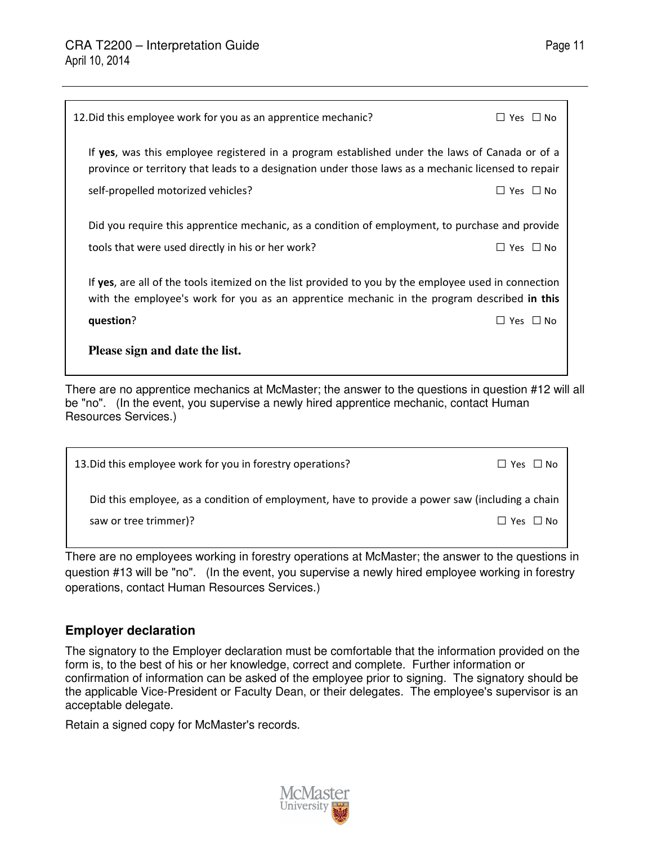| 12. Did this employee work for you as an apprentice mechanic?                                                                                                                                                                               | $\Box$ Yes $\Box$ No |
|---------------------------------------------------------------------------------------------------------------------------------------------------------------------------------------------------------------------------------------------|----------------------|
| If yes, was this employee registered in a program established under the laws of Canada or of a<br>province or territory that leads to a designation under those laws as a mechanic licensed to repair<br>self-propelled motorized vehicles? | $\Box$ Yes $\Box$ No |
| Did you require this apprentice mechanic, as a condition of employment, to purchase and provide<br>tools that were used directly in his or her work?                                                                                        | $\Box$ Yes $\Box$ No |
| If yes, are all of the tools itemized on the list provided to you by the employee used in connection<br>with the employee's work for you as an apprentice mechanic in the program described in this                                         |                      |
| question?                                                                                                                                                                                                                                   | $\Box$ Yes $\Box$ No |
| Please sign and date the list.                                                                                                                                                                                                              |                      |

There are no apprentice mechanics at McMaster; the answer to the questions in question #12 will all be "no". (In the event, you supervise a newly hired apprentice mechanic, contact Human Resources Services.)

| 13. Did this employee work for you in forestry operations?                                      | □ Yes □ No           |
|-------------------------------------------------------------------------------------------------|----------------------|
| Did this employee, as a condition of employment, have to provide a power saw (including a chain |                      |
| saw or tree trimmer)?                                                                           | $\Box$ Yes $\Box$ No |

There are no employees working in forestry operations at McMaster; the answer to the questions in question #13 will be "no". (In the event, you supervise a newly hired employee working in forestry operations, contact Human Resources Services.)

## **Employer declaration**

The signatory to the Employer declaration must be comfortable that the information provided on the form is, to the best of his or her knowledge, correct and complete. Further information or confirmation of information can be asked of the employee prior to signing. The signatory should be the applicable Vice-President or Faculty Dean, or their delegates. The employee's supervisor is an acceptable delegate.

Retain a signed copy for McMaster's records.